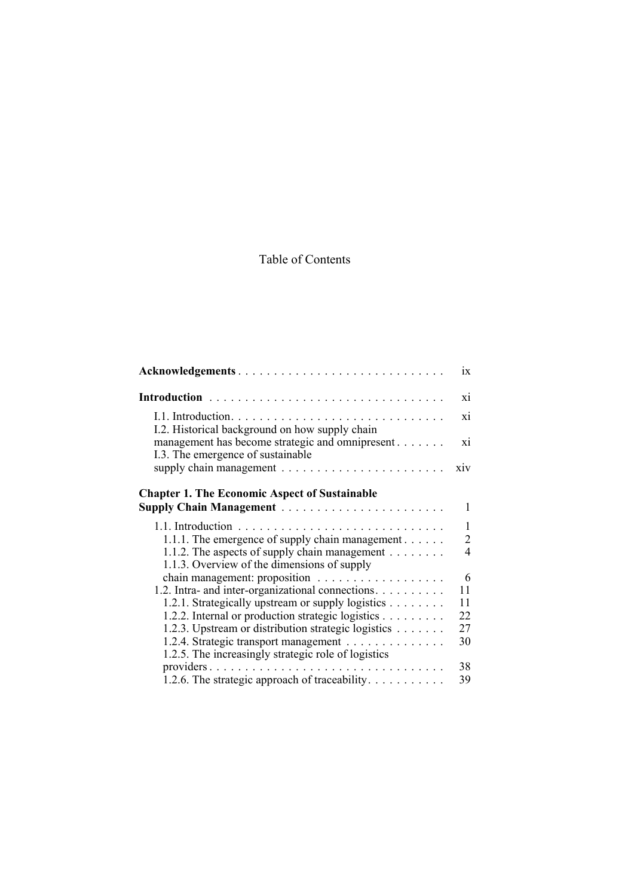## Table of Contents

| Acknowledgements                                                                             | $\overline{1}x$ |
|----------------------------------------------------------------------------------------------|-----------------|
| Introduction                                                                                 | xi              |
| I.2. Historical background on how supply chain                                               | xi              |
| management has become strategic and omnipresent<br>I.3. The emergence of sustainable         | xi              |
|                                                                                              | xiv             |
| <b>Chapter 1. The Economic Aspect of Sustainable</b>                                         |                 |
| <b>Supply Chain Management</b>                                                               | 1               |
|                                                                                              | 1               |
| 1.1.1. The emergence of supply chain management                                              | $\overline{2}$  |
| 1.1.2. The aspects of supply chain management<br>1.1.3. Overview of the dimensions of supply | 4               |
|                                                                                              | 6               |
| 1.2. Intra- and inter-organizational connections.                                            | 11              |
| 1.2.1. Strategically upstream or supply logistics                                            | 11              |
| 1.2.2. Internal or production strategic logistics                                            | 22              |
| 1.2.3. Upstream or distribution strategic logistics                                          | 27              |
| 1.2.4. Strategic transport management<br>1.2.5. The increasingly strategic role of logistics | 30              |
|                                                                                              | 38              |
| 1.2.6. The strategic approach of traceability. $\dots \dots \dots$                           | 39              |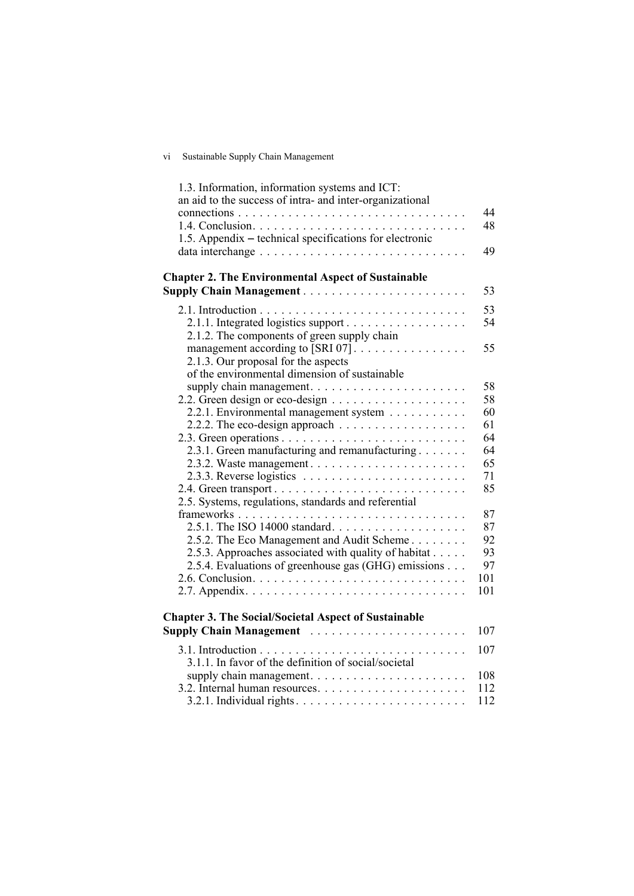## vi Sustainable Supply Chain Management

| 1.3. Information, information systems and ICT:<br>an aid to the success of intra- and inter-organizational |          |
|------------------------------------------------------------------------------------------------------------|----------|
|                                                                                                            | 44       |
|                                                                                                            | 48       |
| 1.5. Appendix – technical specifications for electronic                                                    |          |
|                                                                                                            | 49       |
|                                                                                                            |          |
| <b>Chapter 2. The Environmental Aspect of Sustainable</b>                                                  |          |
|                                                                                                            | 53       |
|                                                                                                            | 53       |
|                                                                                                            | 54       |
| 2.1.1. Integrated logistics support                                                                        |          |
| 2.1.2. The components of green supply chain                                                                | 55       |
| management according to [SRI 07]                                                                           |          |
| 2.1.3. Our proposal for the aspects                                                                        |          |
| of the environmental dimension of sustainable                                                              |          |
|                                                                                                            | 58<br>58 |
|                                                                                                            | 60       |
| 2.2.1. Environmental management system                                                                     | 61       |
|                                                                                                            | 64       |
|                                                                                                            | 64       |
| 2.3.1. Green manufacturing and remanufacturing                                                             |          |
|                                                                                                            | 65       |
| 2.3.3. Reverse logistics $\ldots \ldots \ldots \ldots \ldots \ldots \ldots \ldots$                         | 71<br>85 |
|                                                                                                            |          |
| 2.5. Systems, regulations, standards and referential                                                       |          |
|                                                                                                            | 87       |
| 2.5.1. The ISO 14000 standard                                                                              | 87       |
| 2.5.2. The Eco Management and Audit Scheme                                                                 | 92       |
| 2.5.3. Approaches associated with quality of habitat                                                       | 93       |
| 2.5.4. Evaluations of greenhouse gas (GHG) emissions                                                       | 97       |
|                                                                                                            | 101      |
|                                                                                                            | 101      |
| <b>Chapter 3. The Social/Societal Aspect of Sustainable</b>                                                |          |
| Supply Chain Management                                                                                    | 107      |
|                                                                                                            | 107      |
| 3.1.1. In favor of the definition of social/societal                                                       |          |
|                                                                                                            | 108      |
|                                                                                                            | 112      |
|                                                                                                            | 112      |
|                                                                                                            |          |